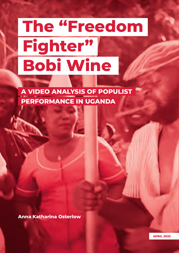# **The "Freedom Fighter" Bobi Wine**

**A VIDEO ANALYSIS OF POPULIST PERFORMANCE IN UGANDA**

**Anna Katharina Osterlow**

**APRIL 2022**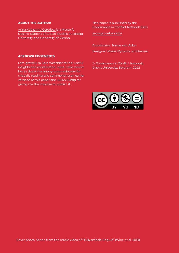#### **ABOUT THE AUTHOR**

**ACKNOWLEDGEMENTS**

Anna Katharina Osterlow is a Master's Degree Student of Global Studies at Leipzig University and University of Vienna.

This paper is published by the Governance in Conflict Network (GIC)

www.gicnetwork.be

Coordinator: Tomas van Acker Designer: Marie Wynants, achttien.eu

© Governance in Conflict Network, Ghent University, Belgium. 2022

#### insights and constructive input. I also would like to thank the anonymous reviewers for critically reading and commenting on earlier versions of this paper and Julian Kuttig for

giving me the impulse to publish it.

I am grateful to Sara Weschler for her useful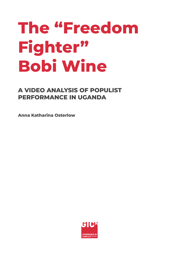## **The "Freedom Fighter" Bobi Wine**

### **A VIDEO ANALYSIS OF POPULIST PERFORMANCE IN UGANDA**

**Anna Katharina Osterlow**

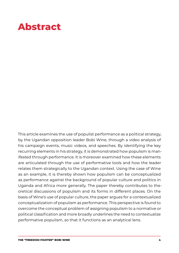### **Abstract**

This article examines the use of populist performance as a political strategy, by the Ugandan opposition leader Bobi Wine, through a video analysis of his campaign events, music videos, and speeches. By identifying the key recurring elements in his strategy, it is demonstrated how populism is manifested through performance. It is moreover examined how these elements are articulated through the use of performative tools and how the leader relates them strategically to the Ugandan context. Using the case of Wine as an example, it is thereby shown how populism can be conceptualized as performance against the background of popular culture and politics in Uganda and Africa more generally. The paper thereby contributes to theoretical discussions of populism and its forms in different places. On the basis of Wine's use of popular culture, the paper argues for a contextualized conceptualization of populism as performance. This perspective is found to overcome the conceptual problem of assigning populism to a normative or political classification and more broadly underlines the need to contextualize performative populism, so that it functions as an analytical lens.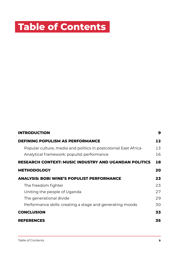### **Table of Contents**

| <b>INTRODUCTION</b>                                                                                                                         | 9                    |
|---------------------------------------------------------------------------------------------------------------------------------------------|----------------------|
| <b>DEFINING POPULISM AS PERFORMANCE</b>                                                                                                     | 12                   |
| Popular culture, media and politics in postcolonial East Africa<br>Analytical framework: populist performance                               | 13<br>16             |
| <b>RESEARCH CONTEXT: MUSIC INDUSTRY AND UGANDAN POLITICS</b>                                                                                | 18                   |
| <b>METHODOLOGY</b>                                                                                                                          | 20                   |
| <b>ANALYSIS: BOBI WINE'S POPULIST PERFORMANCE</b>                                                                                           | 23                   |
| The freedom fighter<br>Uniting the people of Uganda<br>The generational divide<br>Performance skills: creating a stage and generating moods | 23<br>27<br>29<br>30 |
| <b>CONCLUSION</b>                                                                                                                           | 33                   |
| <b>REFERENCES</b>                                                                                                                           | 35                   |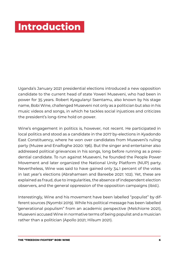### <span id="page-5-0"></span>**Introduction**

Uganda's January 2021 presidential elections introduced a new opposition candidate to the current head of state Yoweri Museveni, who had been in power for 35 years. Robert Kyagulanyi Ssentamu, also known by his stage name, Bobi Wine, challenged Museveni not only as a politician but also in his music videos and songs, in which he tackles social injustices and criticizes the president's long-time hold on power.

Wine's engagement in politics is, however, not recent. He participated in local politics and stood as a candidate in the 2017 by-elections in Kyadondo East Constituency, where he won over candidates from Museveni's ruling party (Muzee and Enaifoghe 2020: 196). But the singer and entertainer also addressed political grievances in his songs, long before running as a presidential candidate. To run against Museveni, he founded the People Power Movement and later organized the National Unity Platform (NUP) party. Nevertheless, Wine was said to have gained only 34.1 percent of the votes in last year's elections (Abrahamsen and Bareebe 2021: 102). Yet, these are explained as fraud, due to irregularities, the absence of independent election observers, and the general oppression of the opposition campaigns (ibid.).

Interestingly, Wine and his movement have been labelled "populist" by different sources (Nyombi 2019). While his political message has been labelled "generational populism" from an academic perspective (Melchiorre 2021), Museveni accused Wine in normative terms of being populist and a musician rather than a politician (Apollo 2021; Hilsum 2021).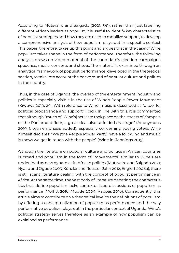According to Mutsvairo and Salgado (2021: 341), rather than just labelling different African leaders as populist, it is useful to identify key characteristics of populist strategies and how they are used to mobilize support, to develop a comprehensive analysis of how populism plays out in a specific context. This paper, therefore, takes up this point and argues that in the case of Wine, populism takes shape in the form of performance. Therefore, the following analysis draws on video material of the candidate's election campaigns, speeches, music, concerts and shows. The material is examined through an analytical framework of populist performance, developed in the theoretical section, to take into account the background of popular culture and politics in the country.

Thus, in the case of Uganda, the overlap of the entertainment industry and politics is especially visible in the rise of Wine's People Power Movement (Kiwuwa 2019: 25). With reference to Wine, music is described as "a tool for political propaganda and support" (ibid.). In line with this, it is commented that although "much of [Wine's] activism took place on the streets of Kampala or the Parliament floor, a great deal also unfolded *on stage*" (Anonymous 2019: 1, own emphasis added). Especially concerning young voters, Wine himself declares: "We [the People Power Party] have a following and music is (how) we get in touch with the people" (Wine in: Jennings 2019).

Although the literature on popular culture and politics in African countries is broad and populism in the form of "movements" similar to Wine's are underlined as new dynamics in African politics (Mutsvairo and Salgado 2021; Nyairo and Ogude 2005; Künzler and Reuster-Jahn 2012; Englert 2008a), there is still scant literature dealing with the concept of populist performance in Africa. At the same time, the vast body of literature debating the characteristics that define populism lacks contextualized discussions of populism as performance (Moffitt 2016; Mudde 2004; Pappas 2016). Consequently, this article aims to contribute on a theoretical level to the definitions of populism, by offering a conceptualization of populism as performance and the way performative populism plays out in the particular context of Uganda. Wine's political strategy serves therefore as an example of how populism can be explained as performance.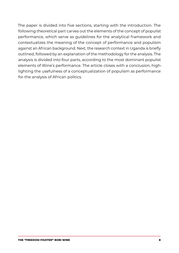The paper is divided into five sections, starting with the introduction. The following theoretical part carves out the elements of the concept of populist performance, which serve as guidelines for the analytical framework and contextualizes the meaning of the concept of performance and populism against an African background. Next, the research context in Uganda is briefly outlined, followed by an explanation of the methodology for the analysis. The analysis is divided into four parts, according to the most dominant populist elements of Wine's performance. The article closes with a conclusion, highlighting the usefulness of a conceptualization of populism as performance for the analysis of African politics.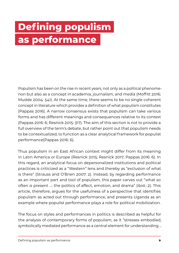## <span id="page-8-0"></span>**Defining populism as performance**

Populism has been on the rise in recent years, not only as a political phenomenon but also as a concept in academia, journalism, and media (Moffitt 2016; Mudde 2004: 541). At the same time, there seems to be no single coherent concept in literature which provides a definition of what populism constitutes (Pappas 2016). A narrow consensus exists that populism can take various forms and has different meanings and consequences relative to its context (Pappas 2016: 6; Resnick 2015: 317). The aim of this section is not to provide a full overview of the term's debate, but rather point out that populism needs to be contextualized, to function as a clear analytical framework for populist performance(Pappas 2016: 6).

Thus populism in an East African context might differ from its meaning in Latin America or Europe (Resnick 2015; Resnick 2017; Pappas 2016: 6). In this regard, an analytical focus on depersonalized institutions and political practices is criticized as a "Western" lens and thereby as "exclusion of what is there" (Strauss and O'Brien 2007: 2). Instead, by regarding performance as an important part and tool of populism, this paper carves out "what so often *is* present …: the politics of affect, emotion, and drama" (ibid.: 2). This article, therefore, argues for the usefulness of a perspective that identifies populism as acted out through performance, and presents Uganda as an example where populist performance plays a role for political mobilization.

The focus on styles and performances in politics is described as helpful for the analysis of contemporary forms of populism, as it "stresses embodied, symbolically mediated performance as a central element for understanding …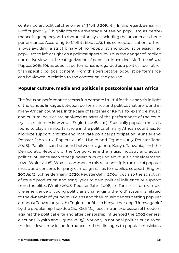<span id="page-9-0"></span>contemporary political phenomena" (Moffitt 2016: 4f.). In this regard, Benjamin Moffitt (ibid.: 38) highlights the advantage of seeing populism as performance in going beyond a rhetorical analysis including the broader aesthetic performance. According to Moffitt (ibid.: 43), this conceptualization further allows avoiding a strict binary of non-populist and populist or assigning populism to left or right on a political spectrum. Thus the danger of implicit normative views in the categorization of populism is avoided (Moffitt 2016: 44; Pappas 2016: 10), as populist performance is regarded as a political tool rather than specific political content. From this perspective, populist performance can be viewed in relation to the context on the ground.

#### **Popular culture, media and politics in postcolonial East Africa**

The focus on performance seems furthermore fruitful for this analysis in light of the various linkages between performance and politics that are found in many African countries. In the case of Tanzania or Kenya, for example, music and cultural politics are analyzed as parts of the performance of the country as a nation (Askew 2002; Englert 2008a: 11f.). Especially popular music is found to play an important role in the politics of many African countries, to mobilize support, criticize and motivate political participation (Künzler and Reuster-Jahn 2012; Englert 2008a; Nyairo and Ogude 2005; Reuster-Jahn 2008). Parallels can be found between Uganda, Kenya, Tanzania, and the Democratic Republic of the Congo where the music industry and actual politics influence each other (Englert 2008b; Englert 2008a; Schneidermann 2020; White 2008). What is common in this relationship is the use of popular music and concerts for party campaign rallies to mobilize support (Englert 2008a: 12; Schneidermann 2020; Reuster-Jahn 2008) but also the adaption of music production and song lyrics to gain political influence or support from the elites (White 2008; Reuster-Jahn 2008). In Tanzania, for example, the emergence of young politicians challenging the "old" system is related to the dynamic of young musicians and their music genres getting popular amongst Tanzanian youth (Englert 2008b). In Kenya, the song "Unbwogable" by the popular hip-hop duo Gidi Gidi Maji became an expression of freedom against the political elite and after censorship influenced the 2002 general elections (Nyairo and Ogude 2005). Not only in national politics but also on the local level, music, performance and the linkages to popular musicians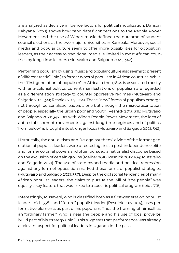are analyzed as decisive influence factors for political mobilization. Danson Kahyana (2021) shows how candidates' connections to the People Power Movement and the use of Wine's music defined the outcome of student council elections at the two major universities in Kampala. Moreover, social media and popular culture seem to offer more possibilities for opposition leaders, as their access to traditional media is limited in most African countries by long-time leaders (Mutsvairo and Salgado 2021, 342).

Performing populism by using music and popular culture also seems to present a "different tactic" (ibid.) to former types of populism in African countries. While the "first generation of populism" in Africa in the 1980s is associated mostly with anti-colonial politics, current manifestations of populism are regarded as a differentiation strategy to counter oppressive regimes (Mutsvairo and Salgado 2021: 341; Resnick 2017: 104). These "new" forms of populism emerge not through personalistic leaders alone but through the misrepresentation of people, especially the urban poor and youth (Resnick 2015: 318; Mutsvairo and Salgado 2021: 342). As with Wine's People Power Movement, the idea of anti-establishment movements against long-time regimes and of politics "from below" is brought into stronger focus (Mutsvairo and Salgado 2021: 342).

Historically, the anti-elitism and "us against them" divide of the former generation of populist leaders were directed against a post-independence elite and former colonial powers and often pursued a nationalist discourse based on the exclusion of certain groups (Melber 2018; Resnick 2017: 104; Mutsvairo and Salgado 2021). The use of state-owned media and political repression against any form of opposition marked these forms of populist strategies (Mutsvairo and Salgado 2021: 337). Despite the dictatorial tendencies of many African populist leaders, the claim to pursue the will of "the people" was equally a key feature that was linked to a specific political program (ibid.: 336).

Interestingly, Museveni, who is classified both as a first-generation populist leader (ibid.: 338), and "future" populist leader (Resnick 2017: 104), uses performative elements as part of his populism. Thus the framing of himself as an "ordinary farmer" who is near the people and his use of local proverbs build part of his strategy (ibid.). This suggests that performance was already a relevant aspect for political leaders in Uganda in the past.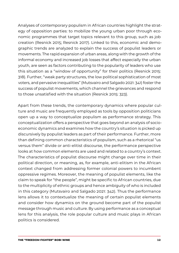Analyses of contemporary populism in African countries highlight the strategy of opposition parties: to mobilize the young urban poor through economic programmes that target topics relevant to this group, such as job creation (Resnick 2015; Resnick 2017). Linked to this, economic and demographic trends are analyzed to explain the success of populist leaders or movements. The rapid expansion of urban areas, along with the growth of the informal economy and increased job losses that affect especially the urban youth, are seen as factors contributing to the popularity of leaders who use this situation as a "window of opportunity" for their politics (Resnick 2015: 318). Further, "weak party structures, the low political sophistication of most voters, and pervasive inequalities" (Mutsvairo and Salgado 2021: 341) foster the success of populist movements, which channel the grievances and respond to those unsatisfied with the situation (Resnick 2015: 323).

Apart from these trends, the contemporary dynamics where popular culture and music are frequently employed as tools by opposition politicians open up a way to conceptualize populism as performance strategy. This conceptualization offers a perspective that goes beyond an analysis of socioeconomic dynamics and examines how the country's situation is picked up discursively by populist leaders as part of their performance. Further, more than defining common characteristics of populism, such as a rhetorical "us versus them" divide or anti-elitist discourse, the performance perspective looks at how common elements are used and related to a country's context. The characteristics of populist discourse might change over time in their political direction, or meaning, as, for example, anti-elitism in the African context changed from addressing former colonial powers to incumbent oppressive regimes. Moreover, the meaning of populist elements, like the claim to speak for "the people", might be specific to African countries, due to the multiplicity of ethnic groups and hence ambiguity of who is included in this category (Mutsvairo and Salgado 2021: 342). Thus the performance lens allows it to contextualize the meaning of certain populist elements and consider how dynamics on the ground become part of the populist message through music and culture. By using performance as a conceptual lens for this analysis, the role popular culture and music plays in African politics is considered.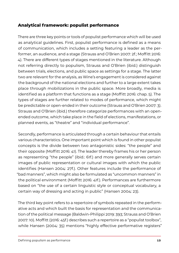#### <span id="page-12-0"></span>**Analytical framework: populist performance**

There are three key points or tools of populist performance which will be used as analytical guidelines. First, populist performance is defined as a means of communication, which includes a setting featuring a leader as the performer, an audience, and a stage (Strauss and O'Brien 2007: 2f.; Moffitt 2016: 4). There are different types of stages mentioned in the literature. Although not referring directly to populism, Strauss and O'Brien (ibid.) distinguish between trials, elections, and public space as settings for a stage. The latter two are relevant for the analysis, as Wine's engagement is considered against the background of the national elections and further to a large extent takes place through mobilizations in the public space. More broadly, media is identified as a platform that functions as a stage (Moffitt 2016: chap. 5). The types of stages are further related to modes of performance, which might be predictable or open-ended in their outcome (Strauss and O'Brien 2007: 3). Strauss and O'Brien (ibid.) therefore categorize performances with an openended outcome, which take place in the field of elections, manifestations, or planned events, as "theatre" and "individual performance".

Secondly, performance is articulated through a certain behaviour that entails various characteristics. One important point which is found in other populist concepts is the divide between two antagonistic sides: "the people" and their opposite (Moffitt 2016: 41). The leader thereby frames his or her person as representing "the people" (ibid.: 61f.) and more generally serves certain images of public representation or cultural images with which the public identifies (Hansen 2004: 27f.). Other features include the performance of "bad manners", which might also be formulated as "uncommon manners" in the political environment (Moffitt 2016: 41f.). Performances are furthermore based on "the use of a certain linguistic style or conceptual vocabulary, a certain way of dressing and acting in public" (Hansen 2004: 23).

The third key point refers to a repertoire of symbols repeated in the performative acts and which built the basis for representation and the communication of the political message (Baldwin-Philippi 2019: 393; Strauss and O'Brien 2007: 10). Moffitt (2016: 45f.) describes such a repertoire as a "populist toolbox", while Hansen (2004: 35) mentions "highly effective performative registers"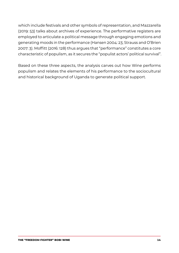which include festivals and other symbols of representation, and Mazzarella (2019: 53) talks about archives of experience. The performative registers are employed to articulate a political message through engaging emotions and generating moods in the performance (Hansen 2004: 23; Strauss and O'Brien 2007: 3). Moffitt (2016: 128) thus argues that "performance" constitutes a core characteristic of populism, as it secures the "populist actors' political survival".

Based on these three aspects, the analysis carves out how Wine performs populism and relates the elements of his performance to the sociocultural and historical background of Uganda to generate political support.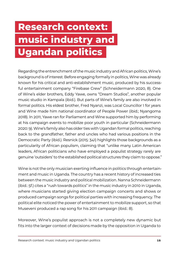## <span id="page-14-0"></span>**Research context: music industry and Ugandan politics**

Regarding the entrenchment of the music industry and African politics, Wine's background is of interest. Before engaging formally in politics, Wine was already known for his critical and anti-establishment music, produced by his successful entertainment company "Firebase Crew" (Schneidermann 2020, 8). One of Wine's elder brothers, Eddy Yawe, owns "Dream Studios", another popular music studio in Kampala (ibid.). But parts of Wine's family are also involved in formal politics. His eldest brother, Fred Nyanzi, was Local Councillor 1 for years and Wine made him national coordinator of People Power (ibid.; Nyangoma 2018). In 2011, Yawe ran for Parliament and Wine supported him by performing at his campaign events to mobilize poor youth in particular (Schneidermann 2020: 9). Wine's family also has older ties with Ugandan formal politics, reaching back to the grandfather, father and uncles who had various positions in the Democratic Party (ibid.). Resnick (2015: 341) highlights those backgrounds as a particularity of African populism, claiming that "unlike many Latin American leaders, African politicians who have employed a populist strategy rarely are genuine 'outsiders' to the established political structures they claim to oppose."

Wine is not the only musician exerting influence in politics through entertainment and music in Uganda. The country has a recent history of increased ties between the music industry and political mobilization. Nanna Schneidermann (ibid.: 5f.) cites a "rush towards politics" in the music industry in 2010 in Uganda, where musicians started giving election campaign concerts and shows or produced campaign songs for political parties with increasing frequency. The political elite noticed the power of entertainment to mobilize support, so that Museveni produced a rap song for his 2011 campaign (ibid.: 8).

Moreover, Wine's populist approach is not a completely new dynamic but fits into the larger context of decisions made by the opposition in Uganda to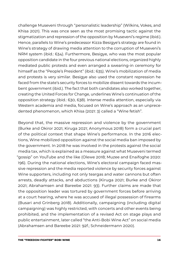challenge Museveni through "personalistic leadership" (Wilkins, Vokes, and Khisa 2021). This was once seen as the most promising tactic against the stigmatization and repression of the opposition by Museveni's regime (ibid.). Hence, parallels to Wine's predecessor Kizza Besigye's strategy are found in Wine's strategy of drawing media attention to the corruption of Museveni's NRM system (ibid.: 634). Furthermore, Besigye, who was the most popular opposition candidate in the four previous national elections, organized highly mediated public protests and even arranged a swearing-in ceremony for himself as the "People's President" (ibid.: 635). Wine's mobilization of media and protests is very similar. Besigye also used the constant repression he faced from the state's security forces to mobilize dissent towards the incumbent government (ibid.). The fact that both candidates also worked together, creating the United Forces for Change, underlines Wine's continuation of the opposition strategy (ibid.: 630, 638). Intense media attention, especially via Western academia and media, focused on Wine's approach as an unprecedented phenomenon, which Khisa (2021: 3) called a "Wine fetish".

Beyond that, the massive repression and violence by the government (Burke and Okiror 2021; Kiruga 2021; Anonymous 2018) form a crucial part of the political context that shape Wine's performance. In the 2016 elections, Wine mobilized opposition against the social media ban imposed by the government. In 2018 he was involved in the protests against the social media tax, which is explained as a measure against what Museveni termed "gossip" on YouTube and the like (Olewe 2018; Muzee and Enaifoghe 2020: 196). During the national elections, Wine's electoral campaign faced massive repression and the media reported violence by security forces against Wine supporters, including not only teargas and water cannons but often arrests, deadly attacks, and abductions (Kiruga 2021; Burke and Okiror 2021; Abrahamsen and Bareebe 2021: 93). Further claims are made that the opposition leader was tortured by government forces before arriving at a court hearing, where he was accused of illegal possession of firearms (Busari and Grinberg 2018). Additionally, campaigning (including digital campaigning) was highly restricted, with concerts and other events being prohibited, and the implementation of a revised Act on stage plays and public entertainment, later called "the Anti-Bobi Wine Act" on social media (Abrahamsen and Bareebe 2021: 92f.; Schneidermann 2020).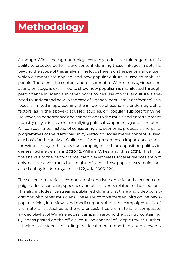### <span id="page-16-0"></span>**Methodology**

Although Wine's background plays certainly a decisive role regarding his ability to produce performative content, defining these linkages in detail is beyond the scope of this analysis. The focus here is on the performance itself, which elements are applied, and how popular culture is used to mobilize people. Therefore, the content and placement of Wine's music, videos and acting on stage is examined to show how populism is manifested through performance in Uganda. In other words, Wine's use of popular culture is analyzed to understand how, in the case of Uganda, populism is *performed*. This focus is limited in approaching the influence of economic or demographic factors, as in the above-discussed studies, on popular support for Wine. However, as performance and connections to the music and entertainment industry play a decisive role in rallying political support in Uganda and other African countries, instead of considering the economic proposals and party programmes of the "National Unity Platform", social media content is used as a basis for the analysis. Online platforms presented an important channel for Wine already in his previous campaigns and for opposition politics in general (Schneidermann 2020: 12; Wilkins, Vokes, and Khisa 2021). This limits the analysis to the performance itself. Nevertheless, local audiences are not only passive consumers but might influence how populist strategies are acted out by leaders (Nyairo and Ogude 2005: 229).

The selected material is comprised of song lyrics, music and election campaign videos, concerts, speeches and other events related to the elections. This also includes live streams published during that time and video collaborations with other musicians. These are complemented with online newspaper articles, interviews, and media reports about the campaigns (a list of the material is attached to the references). Thus the material encompasses a video playlist of Wine's electoral campaign around the country, containing 65 videos posted on the official YouTube channel of People Power. Further, it includes 21 videos, including five local media reports on public events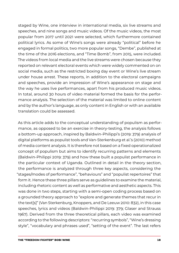staged by Wine, one interview in international media, six live streams and speeches, and nine songs and music videos. Of the music videos, the most popular from 2017 until 2021 were selected, which furthermore contained political lyrics. As some of Wine's songs were already "political" before he engaged in formal politics, two more popular songs, "Dembe", published at the time of the 2016 elections, and "Time Bomb", from 2015, were included. The videos from local media and the live streams were chosen because they reported on relevant electoral events which were widely commented on on social media, such as the restricted boxing day event or Wine's live stream under house arrest. These reports, in addition to the electoral campaigns and speeches, provide an impression of Wine's appearance on stage and the way he uses live performances, apart from his produced music videos. In total, around 30 hours of video material formed the basis for the performance analysis. The selection of the material was limited to online content and by the author's language, as only content in English or with an available translation could be assessed.

As this article adds to the conceptual understanding of populism as performance, as opposed to be an exercise in theory-testing, the analysis follows a bottom-up approach, inspired by Baldwin-Philippi's (2019: 379) analysis of digital platforms as populist tools and Van-Sterkenburg et al.'s (2010) method of media content analysis. It is therefore not based on a fixed operationalized concept of populism but aims to identify recurring patterns and elements (Baldwin-Philippi 2019: 379) and how these built a populist performance in the particular context of Uganda. Outlined in detail in the theory section, the performance is analyzed through three key aspects, considering the "stages/modes of performance", "behaviours" and "populist repertoires" that form it. Hence these three pillars serve as guidelines to examine the material, including rhetoric content as well as performative and aesthetic aspects. This was done in two steps, starting with a semi-open coding process based on a grounded theory approach to "explore and generate themes that recur in the text[s]" (Van Sterkenburg, Knoppers, and De Leeuw 2010: 832), in this case speeches, lyrics and videos (Baldwin-Philippi 2019: 379; Glaser and Strauss 1967). Derived from the three theoretical pillars, each video was examined according to the following descriptors: "recurring symbols", "Wine's dressing style", "vocabulary and phrases used", "setting of the event". The last refers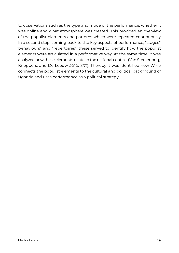to observations such as the type and mode of the performance, whether it was online and what atmosphere was created. This provided an overview of the populist elements and patterns which were repeated continuously. In a second step, coming back to the key aspects of performance, "stages", "behaviours" and "repertoires", these served to identify how the populist elements were articulated in a performative way. At the same time, it was analyzed how these elements relate to the national context (Van Sterkenburg, Knoppers, and De Leeuw 2010: 833). Thereby it was identified how Wine connects the populist elements to the cultural and political background of Uganda and uses performance as a political strategy.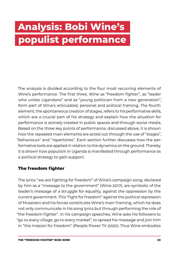### <span id="page-19-0"></span>**Analysis: Bobi Wine's populist performance**

The analysis is divided according to the four most recurring elements of Wine's performance. The first three, Wine as "freedom fighter", as "leader who unites Ugandans" and as "young politician from a new generation", form part of Wine's articulated, personal and political framing. The fourth element, the spontaneous creation of stages, refers to his performative skills, which are a crucial part of his strategy and explain how the situation for performance is actively created in public spaces and through social media. Based on the three key points of performance, discussed above, it is shown how the repeated main elements are acted out through the use of "stages", "behaviours" and "repertoires". Each section further discusses how the performative tools are applied in relation to the dynamics on the ground. Thereby it is shown how populism in Uganda is manifested through performance as a political strategy to gain support.

### **The freedom fighter**

The lyrics "we are fighting for freedom" of Wine's campaign song, declared by him as a "message to the government" (Wine 2017), are symbolic of the leader's message of a struggle for equality, against the oppression by the current government. This "fight for freedom" against the political repression of Museveni and his forces constitutes Wine's main framing, which he does not only communicate in his song lyrics but through performing the role of "the freedom fighter". In his campaign speeches, Wine asks his followers to "go to every village, go to every market", to spread his message and join him in "the mission for freedom" (People Power TV 2020). Thus Wine embodies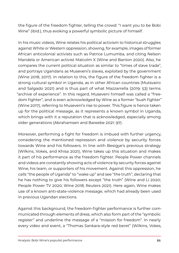the figure of the freedom fighter, telling the crowd: "I want you to be Bobi Wine" (ibid.), thus evoking a powerful symbolic picture of himself.

In his music videos, Wine relates his political activism to historical struggles against White or Western oppression, showing, for example, images of former African anticolonial activists such as Patrice Lumumba, and citing Nelson Mandela or American activist Malcolm X (Wine and Banton 2020). Also, he compares the current political situation as similar to "times of slave trade", and portrays Ugandans as Museveni's slaves, exploited by the government (Wine 2018, 2017). In relation to this, the figure of the freedom fighter is a strong cultural symbol in Uganda, as in other African countries (Mutsvairo and Salgado 2021) and is thus part of what Mazzarrella (2019: 53) terms "archive of experience". In this regard, Museveni himself was called a "freedom fighter", and is even acknowledged by Wine as a former "bush fighter" (Wine 2017), referring to Museveni's rise to power. This figure is hence taken up for the political message, as it represents a known symbol in Uganda, which brings with it a reputation that is acknowledged, especially among older generations (Abrahamsen and Bareebe 2021: 97).

Moreover, performing a fight for freedom is imbued with further urgency, considering the mentioned repression and violence by security forces towards Wine and his followers. In line with Besigye's previous strategy (Wilkins, Vokes, and Khisa 2021), Wine takes up this situation and makes it part of his performance as the freedom fighter. People Power channels and videos are constantly showing acts of violence by security forces against Wine, his team, or supporters of his movement. Against this oppression, he calls "the people of Uganda" to "wake up" and see "the truth", declaring that he has nothing to give his followers except "the truth" (Wine and Li 2020; People Power TV 2020; Wine 2018; Reuters 2021). Here again, Wine makes use of a known anti-state-violence message, which had already been used in previous Ugandan elections.

Against this background, the freedom-fighter performance is further communicated through elements of dress, which also form part of the "symbolic register" and underline the message of a "mission for freedom". In nearly every video and event, a "Thomas Sankara-style red beret" (Wilkins, Vokes,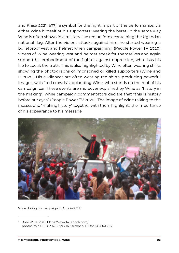and Khisa 2021: 637), a symbol for the fight, is part of the performance, via either Wine himself or his supporters wearing the beret. In the same way, Wine is often shown in a military-like red uniform, containing the Ugandan national flag. After the violent attacks against him, he started wearing a bulletproof vest and helmet when campaigning (People Power TV 2020). Videos of Wine wearing vest and helmet speak for themselves and again support his embodiment of the fighter against oppression, who risks his life to speak the truth. This is also highlighted by Wine often wearing shirts showing the photographs of imprisoned or killed supporters (Wine and Li 2020). His audiences are often wearing red shirts, producing powerful images, with "red crowds" applauding Wine, who stands on the roof of his campaign car. These events are moreover explained by Wine as "history in the making", while campaign commentators declare that "this is history before our eyes" (People Power TV 2020). The image of Wine talking to the masses and "making history" together with them highlights the importance of his appearance to his message.



Wine during his campaign in Arua in 2019.<sup>1</sup>

<sup>1</sup> Bobi Wine, 2019, [https://www.facebook.com/](https://www.facebook.com/photo/?fbid=10158292818793012&set=pcb.10158292838413012) [photo/?fbid=10158292818793012&set=pcb.10158292838413012.](https://www.facebook.com/photo/?fbid=10158292818793012&set=pcb.10158292838413012)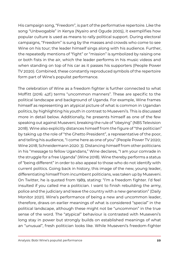His campaign song, "Freedom", is part of the performative repertoire. Like the song "Unbwogable" in Kenya (Nyairo and Ogude 2005), it exemplifies how popular culture is used as means to rally political support. During electoral campaigns, "Freedom" is sung by the masses and crowds who come to see Wine on his tour; the leader himself sings along with his audience. Further, the repeatedly mentions of "fight" or "mission" is symbolized by raising one or both fists in the air, which the leader performs in his music videos and when standing on top of his car as it passes his supporters (People Power TV 2020). Combined, these constantly reproduced symbols of the repertoire form part of Wine's populist performance.

The celebration of Wine as a freedom fighter is further connected to what Moffitt (2016: 42f.) terms "uncommon manners". These are specific to the political landscape and background of Uganda. For example, Wine frames himself as representing an atypical picture of what is common in Ugandan politics, by highlighting his youth in contrast to Museveni's. This is discussed more in detail below. Additionally, he presents himself as one of the few speaking out against Museveni, breaking the rule of "obeying" (NBS Television 2018). Wine also explicitly distances himself from the figure of "the politician" by taking up the role of "the Ghetto President", a representative of the poor, and telling his audience, "I come here as one of you" (People Power TV 2020; Wine 2018; Schneidermann 2020: 3). Distancing himself from other politicians in his "message to fellow Ugandans," Wine declares, "I am your comrade in the struggle for a free Uganda" (Wine 2018). Wine thereby performs a status of "being different" in order to also appeal to those who do not identify with current politics. Going back in history, this image of the new, young leader, differentiating himself from incumbent politicians, was taken up by Museveni. On Twitter, he is quoted from 1989, stating: "I'm a freedom fighter. I'd feel insulted if you called me a politician. I want to finish rebuilding the army, police and the judiciary and leave the country with a new generation" (Daily Monitor 2021). Wine's performance of being a new and uncommon leader, therefore, draws on earlier meanings of what is considered "special" in the political landscape, although these might not be "uncommon" in the true sense of the word. The "atypical" behaviour is contrasted with Museveni's long stay in power but strongly builds on established meanings of what an "unusual", fresh politician looks like. While Museveni's freedom-fighter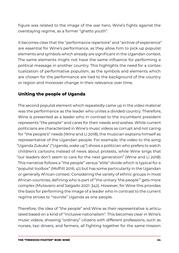<span id="page-23-0"></span>figure was related to the image of the war hero, Wine's fights against the overstaying regime, as a former "ghetto youth".

It becomes clear that the "performance repertoire" and "archive of experience" are essential for Wine's performance, as they allow him to pick up populist elements and symbols which already are significant in the Ugandan context. The same elements might not have the same influence for performing a political message in another country. This highlights the need for a contextualization of performative populism, as the symbols and elements which are chosen for the performance are tied to the background of the country or region and moreover change in their relevance over time.

#### **Uniting the people of Uganda**

The second populist element which repeatedly came up in the video material was the performance as the leader who unites a divided country. Therefore, Wine is presented as a leader who in contrast to the incumbent president represents "the people" and cares for their needs and wishes. While current politicians are characterized in Wine's music videos as corrupt and not caring for "the people's" needs (Wine and Li 2018), the musician explains himself as representative of the Ugandan people. For example, the video to the song "Uganda Zukuka" ("Uganda, wake up") shows a politician who prefers to watch children's cartoons instead of news about protests, while Wine sings that "our leaders don't seem to care for the next generation" (Wine and Li 2018). This narrative follows a "the people" versus "elite" divide which is typical for a "populist toolbox" (Moffitt 2016, 41) but has some particularity in the Ugandan or generally African context. Considering the variety of ethnic groups in most African countries, defining who is part of "the unitary 'the people'" gets more complex (Mutsvairo and Salgado 2021: 342). However, for Wine this provides the basis for performing the image of a leader who in contrast to the current regime strives to "reunite" Uganda as one people.

Therefore, the idea of "the people" and Wine as their representative is articulated based on a kind of "inclusive nationalism". This becomes clear in Wine's music videos, showing "ordinary" citizens with different professions, such as nurses, taxi drivers, and farmers, all fighting together for the same mission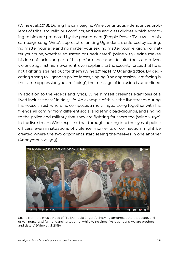(Wine et al. 2018). During his campaigns, Wine continuously denounces problems of tribalism, religious conflicts, and age and class divides, which according to him are promoted by the government (People Power TV 2020). In his campaign song, Wine's approach of uniting Ugandans is enforced by stating: "no matter your age and no matter your sex, no matter your religion, no matter your tribe, whether educated or uneducated" (Wine 2017). Wine makes his idea of inclusion part of his performance and, despite the state-driven violence against his movement, even explains to the security forces that he is not fighting against but for them (Wine 2019a; NTV Uganda 2020). By dedicating a song to Uganda's police forces, singing "the oppression I am facing is the same oppression you are facing", the message of inclusion is underlined.

In addition to the videos and lyrics, Wine himself presents examples of a "lived inclusiveness" in daily life. An example of this is the live stream during his house arrest, where he composes a multilingual song together with his friends, all coming from different social and ethnic backgrounds, and singing to the police and military that they are fighting for them too (Wine 2019b). In the live stream Wine explains that through looking into the eyes of police officers, even in situations of violence, moments of connection might be created where the two opponents start seeing themselves in one another (Anonymous 2019: 3).



Scene from the music video of "Tuliyambala Engule", showing amongst others a doctor, taxi driver, nurse, and farmer dancing together while Wine sings: "As Ugandans, we are brothers and sisters" (Wine et al. 2019).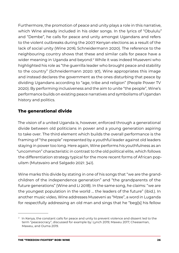<span id="page-25-0"></span>Furthermore, the promotion of peace and unity plays a role in this narrative, which Wine already included in his older songs. In the lyrics of "Obululu" and "Dembe", he calls for peace and unity amongst Ugandans and refers to the violent outbreaks during the 2007 Kenyan elections as a result of the lack of social unity (Wine 2016; Schneidermann 2020). The reference to the neighbouring country shows that these and similar calls for peace have a wider meaning in Uganda and beyond.2 While it was indeed Museveni who highlighted his role as "the guerrilla leader who brought peace and stability to the country" (Schneidermann 2020: 97), Wine appropriates this image and instead declares the government as the ones disturbing that peace by dividing Ugandans according to "age, tribe and religion" (People Power TV 2020). By performing inclusiveness and the aim to unite "the people", Wine's performance builds on existing peace narratives and symbolisms of Ugandan history and politics.

#### **The generational divide**

The vision of a united Uganda is, however, enforced through a generational divide between old politicians in power and a young generation aspiring to take over. The third element which builds the overall performance is the framing of "the people" represented by a youthful leader against old leaders staying in power too long. Here again, Wine performs his youthfulness as an "uncommon" characteristic in contrast to the old political elite, which follows the differentiation strategy typical for the more recent forms of African populism (Mutsvairo and Salgado 2021: 341).

Wine marks this divide by stating in one of his songs that "we are the grandchildren of the independence generation" and "the grandparents of the future generations" (Wine and Li 2018). In the same song, he claims: "we are the youngest population in the world … the leaders of the future" (ibid.). In another music video, Wine addresses Museveni as "Mzee", a word in Luganda for respectfully addressing an old man and sings that he "beg[s] his fellow

 $2\;$  In Kenya, the constant calls for peace and unity to prevent violence and dissent led to the term "peaceocracy", discussed for example by: Lynch 2019; Maweu 2017; Cheeseman, Maweu, and Ouma 2019.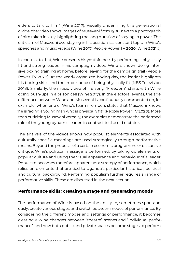<span id="page-26-0"></span>elders to talk to him" (Wine 2017). Visually underlining this generational divide, the video shows images of Museveni from 1986, next to a photograph of him taken in 2017, highlighting the long duration of staying in power. The criticism of Museveni overstaying in his position is a constant topic in Wine's speeches and music videos (Wine 2017; People Power TV 2020; Wine 2021b).

In contrast to that, Wine presents his youthfulness by performing a physically fit and strong leader. In his campaign videos, Wine is shown doing intensive boxing training at home, before leaving for the campaign trail (People Power TV 2020). At the yearly organized boxing day, the leader highlights his boxing skills and the importance of being physically fit (NBS Television 2018). Similarly, the music video of his song "Freedom" starts with Wine doing push-ups in a prison cell (Wine 2017). In the electoral events, the age difference between Wine and Museveni is continuously commented on, for example, when one of Wine's team members states that Museveni knows "he is facing a young man who is physically fit" (People Power TV 2020). More than criticizing Museveni verbally, the examples demonstrate the performed role of the young dynamic leader, in contrast to the old dictator.

The analysis of the videos shows how populist elements associated with culturally specific meanings are used strategically through performative means. Beyond the proposal of a certain economic programme or discursive critique, Wine's political message is performed, by taking up elements of popular culture and using the visual appearance and behaviour of a leader. Populism becomes therefore apparent as a strategy of performance, which relies on elements that are tied to Uganda's particular historical, political and cultural background. Performing populism further requires a range of performative skills. These are discussed in the next section.

#### **Performance skills: creating a stage and generating moods**

The performance of Wine is based on the ability to, sometimes spontaneously, create various stages and switch between modes of performance. By considering the different modes and settings of performance, it becomes clear how Wine changes between "theatre" scenes and "individual performance", and how both public and private spaces become stages to perform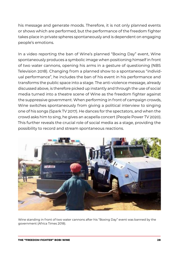his message and generate moods. Therefore, it is not only planned events or shows which are performed, but the performance of the freedom fighter takes place in private spheres spontaneously and is dependent on engaging people's emotions.

In a video reporting the ban of Wine's planned "Boxing Day" event, Wine spontaneously produces a symbolic image when positioning himself in front of two water cannons, opening his arms in a gesture of questioning (NBS Television 2018). Changing from a planned show to a spontaneous "individual performance", he includes the ban of his event in his performance and transforms the public space into a stage. The anti-violence message, already discussed above, is therefore picked up instantly and through the use of social media turned into a theatre scene of Wine as the freedom fighter against the suppressive government. When performing in front of campaign crowds, Wine switches spontaneously from giving a political interview to singing one of his songs (Spark TV 2017). He dances for the spectators, and when the crowd asks him to sing, he gives an acapella concert (People Power TV 2020). This further reveals the crucial role of social media as a stage, providing the possibility to record and stream spontaneous reactions.



Wine standing in front of two water cannons after his "Boxing Day" event was banned by the government (Africa Times 2018).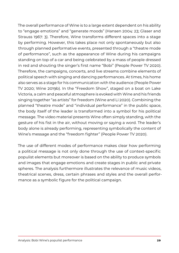The overall performance of Wine is to a large extent dependent on his ability to "engage emotions" and "generate moods" (Hansen 2004: 23; Glaser and Strauss 1967: 3). Therefore, Wine transforms different spaces into a stage by performing. However, this takes place not only spontaneously but also through planned performative events, presented through a "theatre mode of performance", such as the appearance of Wine during his campaigns standing on top of a car and being celebrated by a mass of people dressed in red and shouting the singer's first name "Bobi" (People Power TV 2020). Therefore, the campaigns, concerts, and live streams combine elements of political speech with singing and dancing performances. At times, his home also serves as a stage for his communication with the audience (People Power TV 2020; Wine 2019b). In the "Freedom Show", staged on a boat on Lake Victoria, a calm and peaceful atmosphere is evoked with Wine and his friends singing together "as artists" for freedom (Wine and Li 2020). Combining the planned "theatre mode" and "individual performance" in the public space, the body itself of the leader is transformed into a symbol for his political message. The video material presents Wine often simply standing, with the gesture of his fist in the air, without moving or saying a word. The leader's body alone is already performing, representing symbolically the content of Wine's message and the "freedom fighter" (People Power TV 2020).

The use of different modes of performance makes clear how performing a political message is not only done through the use of context-specific populist elements but moreover is based on the ability to produce symbols and images that engage emotions and create stages in public and private spheres. The analysis furthermore illustrates the relevance of music videos, theatrical scenes, dress, certain phrases and styles and the overall performance as a symbolic figure for the political campaign.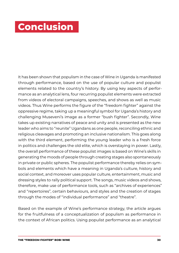### <span id="page-29-0"></span>**Conclusion**

It has been shown that populism in the case of Wine in Uganda is manifested through performance, based on the use of popular culture and populist elements related to the country's history. By using key aspects of performance as an analytical lens, four recurring populist elements were extracted from videos of electoral campaigns, speeches, and shows as well as music videos. Thus Wine performs the figure of the "freedom fighter" against the oppressive regime, taking up a meaningful symbol for Uganda's history and challenging Museveni's image as a former "bush fighter". Secondly, Wine takes up existing narratives of peace and unity and is presented as the new leader who aims to "reunite" Ugandans as one people, reconciling ethnic and religious cleavages and promoting an inclusive nationalism. This goes along with the third element, performing the young leader who is a fresh force in politics and challenges the old elite, which is overstaying in power. Lastly, the overall performance of these populist images is based on Wine's skills in generating the moods of people through creating stages also spontaneously in private or public spheres. The populist performance thereby relies on symbols and elements which have a meaning in Uganda's culture, history and social context, and moreover uses popular culture, entertainment, music and dressing styles to rally political support. The songs, music videos and shows, therefore, make use of performance tools, such as "archives of experiences" and "repertoires", certain behaviours, and styles and the creation of stages through the modes of "individual performance" and "theatre".

Based on the example of Wine's performance strategy, the article argues for the fruitfulness of a conceptualization of populism as performance in the context of African politics. Using populist performance as an analytical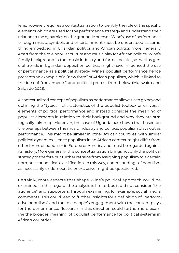lens, however, requires a contextualization to identify the role of the specific elements which are used for the performance strategy and understand their relation to the dynamics on the ground. Moreover, Wine's use of performance through music, symbols and entertainment must be understood as something embedded in Ugandan politics and African politics more generally. Apart from the role popular culture and music play for African politics, Wine's family background in the music industry and formal politics, as well as general trends in Ugandan opposition politics, might have influenced the use of performance as a political strategy. Wine's populist performance hence presents an example of a "new form" of African populism, which is linked to the idea of "movements" and political protest from below (Mutsvairo and Salgado 2021).

A contextualized concept of populism as performance allows us to go beyond defining the "typical" characteristics of the populist toolbox or universal elements of political performance and instead consider the meaning of populist elements in relation to their background and why they are strategically taken up. Moreover, the case of Uganda has shown that based on the overlaps between the music industry and politics, populism plays out as performance. This might be similar in other African countries, with similar political dynamics. Hence populism in an African context might differ from other forms of populism in Europe or America and must be regarded against its history. More generally, this conceptualization brings not only the political strategy to the fore but further refrains from assigning populism to a certain normative or political classification. In this way, understandings of populism as necessarily undemocratic or exclusive might be questioned.

Certainly, more aspects that shape Wine's political approach could be examined. In this regard, the analysis is limited, as it did not consider "the audience" and supporters, through examining, for example, social media comments. This could lead to further insights for a definition of "performative populism" and the role people's engagement with the content plays for the performance. Research in this direction could furthermore examine the broader meaning of populist performance for political systems in African countries.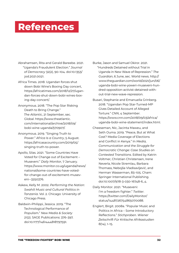### <span id="page-31-0"></span>**References**

- Abrahamsen, Rita and Gerald Bareebe. 2021. "Uganda's Fraudulent Election." *Journal of Democracy* 32(2), 90–104. doi:10.1353/ jod.2021.0021.
- Africa Times. 2018. Ugandan forces shut down Bobi Wine's Boxing Day concert, [https://africatimes.com/2018/12/27/ugan](https://africatimes.com/2018/12/27/ugandan-forces-shut-down-bobi-wines-boxing-day-concert/)[dan-forces-shut-down-bobi-wines-box](https://africatimes.com/2018/12/27/ugandan-forces-shut-down-bobi-wines-boxing-day-concert/)[ing-day-concert/](https://africatimes.com/2018/12/27/ugandan-forces-shut-down-bobi-wines-boxing-day-concert/).
- Anonymous. 2018. "The Pop Star Risking Death to Bring Change." *The Atlantic*, 21 September, sec. Global. [https://www.theatlantic.](https://www.theatlantic.com/international/archive/2018/09/bobi-wine-uganda/570907/) [com/international/archive/2018/09/](https://www.theatlantic.com/international/archive/2018/09/bobi-wine-uganda/570907/) [bobi-wine-uganda/570907/](https://www.theatlantic.com/international/archive/2018/09/bobi-wine-uganda/570907/).
- Anonymous. 2019. "Singing Truth to Power." *Africa Is a Country*, 5 August. [https://africasacountry.com/2019/05/](https://africasacountry.com/2019/05/singing-truth-to-power) [singing-truth-to-power.](https://africasacountry.com/2019/05/singing-truth-to-power)
- Apollo, Silas. 2021. "Some Countries Have Voted for Change out of Excitement – Museveni." *Daily Monitor*, 7 January. [https://www.monitor.co.ug/uganda/news/](https://www.monitor.co.ug/uganda/news/national/some-countries-have-voted-for-change-out-of-excitement-museveni--3250376) [national/some-countries-have-voted](https://www.monitor.co.ug/uganda/news/national/some-countries-have-voted-for-change-out-of-excitement-museveni--3250376)[for-change-out-of-excitement-musev](https://www.monitor.co.ug/uganda/news/national/some-countries-have-voted-for-change-out-of-excitement-museveni--3250376)[eni--3250376.](https://www.monitor.co.ug/uganda/news/national/some-countries-have-voted-for-change-out-of-excitement-museveni--3250376)
- Askew, Kelly M. 2002. *Performing the Nation: Swahili Music and Cultural Politics in Tanzania*. Vol. 2. Chicago: University of Chicago Press.
- Baldwin-Philippi, Jessica. 2019. "The Technological Performance of Populism." *New Media & Society* 21(2). SAGE Publications: 376–397. doi:10.1177/1461444818797591.

Burke, Jason and Samuel Okiror. 2021. "Hundreds Detained without Trial in Uganda in New Wave of Repression." *The Guardian*, 6 June, sec. World news. [http://](http://www.theguardian.com/world/2021/jun/06/uganda-bobi-wine-yoweri-museveni-hundred-opposition-activist-detained-without-trial-new-wave-repression) [www.theguardian.com/world/2021/jun/06/](http://www.theguardian.com/world/2021/jun/06/uganda-bobi-wine-yoweri-museveni-hundred-opposition-activist-detained-without-trial-new-wave-repression) [uganda-bobi-wine-yoweri-museveni-hun](http://www.theguardian.com/world/2021/jun/06/uganda-bobi-wine-yoweri-museveni-hundred-opposition-activist-detained-without-trial-new-wave-repression)[dred-opposition-activist-detained-with](http://www.theguardian.com/world/2021/jun/06/uganda-bobi-wine-yoweri-museveni-hundred-opposition-activist-detained-without-trial-new-wave-repression)[out-trial-new-wave-repression](http://www.theguardian.com/world/2021/jun/06/uganda-bobi-wine-yoweri-museveni-hundred-opposition-activist-detained-without-trial-new-wave-repression).

- Busari, Stephanie and Emanuella Grinberg. 2018. "Ugandan Pop Star-Turned-MP Gives Detailed Account of Alleged Torture." *CNN*, 4 September. [https://www.cnn.com/2018/09/03/africa/](https://www.cnn.com/2018/09/03/africa/uganda-bobi-wine-statement/index.html) [uganda-bobi-wine-statement/index.html.](https://www.cnn.com/2018/09/03/africa/uganda-bobi-wine-statement/index.html)
- Cheeseman, Nic, Jacinta Maweu, and Seth Ouma. 2019. "Peace, But at What Cost? Media Coverage of Elections and Conflict in Kenya." In *Media, Communication and the Struggle for Democratic Change: Case Studies on Contested Transitions*. Edited by Katrin Voltmer, Christian Christensen, Irene Neverla, Nicole Stremlau, Barbara Thomass, Nebojša Vladisavljević, and Herman Wasserman, 83–105. Cham: Springer International Publishing. doi:10.1007/978-3-030-16748-6\_4.
- Daily Monitor. 2021. "Museveni: I'm a freedom fighter." *Twitter*. [https://twitter.com/DailyMonitor/](https://twitter.com/DailyMonitor/status/1448726754865070088) [status/1448726754865070088.](https://twitter.com/DailyMonitor/status/1448726754865070088)
- Englert, Birgit. 2008a. "Popular Music and Politics in Africa – Some Introductory Reflections." *Stichproben. Wiener Zeitschrift Für Kritische Afrikastudien* 8(14), 1–15.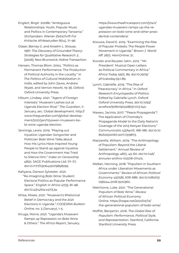Englert, Birgit. 2008b. "Ambiguous Relationships: Youth, Popular Music and Politics in Contemporary Tanzania." *Stichproben. Wiener Zeitschrift Für Kritische Afrikastudien* 8(14), 71–96.

- Glaser, Barney G. and Anselm L. Strauss. 1967. *The Discovery of Grounded Theory: Strategies for Qualitative Research*. 5 [2006]. New Brunswick: Aldine Transaction.
- Hansen, Thomas Blom. 2004. "Politics as Permanent Performance: The Production of Political Authority in the Locality." In *The Politics of Cultural Mobilization in India*, edited by John Zavos, Andrew Wyatt, and Vernon Hewitt, 19–36. Oxford: Oxford University Press.
- Hilsum, Lindsey. 2021. "'Agent of Foreign Interests': Museveni Lashes out at Uganda Election Rival." *The Guardian*, 11 January, sec. Global development. [http://](http://www.theguardian.com/global-development/2021/jan/11/yoweri-museveni-bobi-wine-uganda-election) [www.theguardian.com/global-develop](http://www.theguardian.com/global-development/2021/jan/11/yoweri-museveni-bobi-wine-uganda-election)[ment/2021/jan/11/yoweri-museveni-bo](http://www.theguardian.com/global-development/2021/jan/11/yoweri-museveni-bobi-wine-uganda-election)[bi-wine-uganda-election](http://www.theguardian.com/global-development/2021/jan/11/yoweri-museveni-bobi-wine-uganda-election).
- Jennings, Lewis. 2019. "Playing out Injustice: Ugandan Songwriter and Politician Bobi Wine Talks about How His Lyrics Have Inspired Young People to Stand up against Injustice and How the Government Has Tried to Silence Him." *Index on Censorship* 48(2). SAGE Publications Ltd: 77–77. doi:10.1177/0306422019858299.
- Kahyana, Danson Sylvester. 2021. "Re-Imagining Bobi Wine: Student Electoral Politics as Popular Performance Space." *English in Africa* 47(3), 81–98. doi:10.4314/eia.v47i3.5s.
- Khisa, Moses. 2021. "Museveni's Rhetorical Belief in Democracy and the 2021 Elections in Uganda." *CODESRIA Bulletin Online*, no. 3 (January), 1–5.
- Kiruga, Morris. 2021. "Uganda's Museveni Ramps up Repression on Bobi Wine & Others." *The Africa Report*, January.

[https://www.theafricareport.com/57411/](https://www.theafricareport.com/57411/ugandas-museveni-ramps-up-the-repression-on-bobi-wine-and-other-presidential-contenders/) [ugandas-museveni-ramps-up-the-re](https://www.theafricareport.com/57411/ugandas-museveni-ramps-up-the-repression-on-bobi-wine-and-other-presidential-contenders/)[pression-on-bobi-wine-and-other-presi](https://www.theafricareport.com/57411/ugandas-museveni-ramps-up-the-repression-on-bobi-wine-and-other-presidential-contenders/)[dential-contenders/.](https://www.theafricareport.com/57411/ugandas-museveni-ramps-up-the-repression-on-bobi-wine-and-other-presidential-contenders/)

- Kiwuwa, David E. 2019. "Examining the Rise of Popular Protests: The People Power Movement in Uganda." *Brown J. World Aff.* 26(1). HeinOnline: 21.
- Künzler and Reuster-Jahn. 2012. "'Mr. President': Musical Open Letters as Political Commentary in Africa." *Africa Today* 59(1), 89. doi:10.2979/ africatoday.59.1.89.

Lynch, Gabrielle. 2019. "The Rise of 'Peaceocracy' in Africa." In *Oxford Research Encyclopedia of Politics*. Edited by Gabrielle Lynch. Oxford: Oxford University Press. doi:10.1093/ acrefore/9780190228637.013.740.

- Maweu, Jacinta. 2017. "'Peace Propaganda'? The Application of Chomsky's Propaganda Model to the Daily Nation's Coverage of the 2013 Kenyan Elections." *Communicatio* 43(April), 168–186. doi:10.10 80/02500167.2017.1319873.
- Mazzarella, William. 2019. "The Anthropology of Populism: Beyond the Liberal Settlement." *Annual Review of Anthropology* 48(1), 45–60. doi:10.1146/ annurev-anthro-102218-011412.
- Melber, Henning. 2018. "Populism in Southern Africa under Liberation Movements as Governments." *Review of African Political Economy* 45(158), 678–686. doi:10.1080/03 056244.2018.1500360.
- Melchiorre, Luke. 2021. "The Generational Populism of Bobi Wine." *Review of African Political Economy Online*. [https://roape.net/2021/02/12/](https://roape.net/2021/02/12/the-generational-populism-of-bobi-wine/) [the-generational-populism-of-bobi-wine/.](https://roape.net/2021/02/12/the-generational-populism-of-bobi-wine/)
- Moffitt, Benjamin. 2016. *The Global Rise of Populism: Performance, Political Style, and Representation*. Stanford, California: Stanford University Press.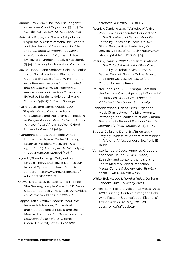- Mudde, Cas. 2004. "The Populist Zeitgeist." *Government and Opposition* 39(4), 541– 563. doi:10.1111/j.1477-7053.2004.00135.x.
- Mutsvairo, Bruce, and Susana Salgado. 2021. "Populism in Africa: Personalistic Leaders and the Illusion of Representation." In *The Routledge Companion to Media Disinformation and Populism*. Edited by Howard Tumber and Silvio Waisbord, 335–344. Abingdon; New York: Routledge.
- Muzee, Hannah and Andrew Osehi Enaifoghe. 2020. "Social Media and Elections in Uganda: The Case of Bobi Wine and the Arua Primary Elections." In *Social Media and Elections in Africa. Theoretical Perspectives and Election Campaigns*. Edited by Martin N. Ndlela and Mano Winston, 195–213. 1. Cham: Springer.
- Nyairo, Joyce and James Ogude. 2005. "Popular Music, Popular Politics: Unbwogable and the Idioms of Freedom in Kenyan Popular Music." *African Affairs* 104(415) [Royal African Society, Oxford University Press], 225–249.
- Nyangoma, Brenda. 2018. "Bobi Wine's Brother Fred Nyanzi Writes Stringing Letter to President Museveni." *The Ugandan*, 27 August, sec. NEWS. [https://](https://theugandan.com/2018/08/3467/) [theugandan.com/2018/08/3467/.](https://theugandan.com/2018/08/3467/)
- Nyombi, Thembo. 2019. "'Tuliyambala Engule' Frenzy and How It Defines Our Political Opposition." *New Vision*, 14 January. [https://www.newvision.co.ug/](https://www.newvision.co.ug/articledetails/1492565) [articledetails/1492565.](https://www.newvision.co.ug/articledetails/1492565)
- Olewe, Dickens. 2018. "Bobi Wine: The Pop Star Seeking 'People Power.'" *BBC News*, 6 September, sec. Africa. [https://www.bbc.](https://www.bbc.com/news/world-africa-45195664) [com/news/world-africa-45195664.](https://www.bbc.com/news/world-africa-45195664)
- Pappas, Takis S. 2016. "Modern Populism: Research Advances, Conceptual and Methodological Pitfalls, and the Minimal Definition." In *Oxford Research Encyclopedia of Politics*. Oxford: Oxford University Press. doi:10.1093/

acrefore/9780190228637.013.17.

- Resnick, Danielle. 2015. "Varieties of African Populism in Comparative Perspective." In *The Promise and Perils of Populism*. Edited by Carlos de la Torre, 317–348. Global Perspectives. Lexington, KY: University Press of Kentucky. [http://www.](http://www.jstor.org/stable/j.ctt12880g5.14) [jstor.org/stable/j.ctt12880g5.14.](http://www.jstor.org/stable/j.ctt12880g5.14)
- Resnick, Danielle. 2017. "Populism in Africa." In *The Oxford Handbook of Populism*. Edited by Cristóbal Rovira Kaltwasser, Paul A. Taggart, Paulina Ochoa Espejo, and Pierre Ostiguy, 101–120. Oxford: Oxford University Press.
- Reuster-Jahn, Uta. 2008. "Bongo Flava and the Electoral Campaign 2005 in Tanzania." *Stichproben. Wiener Zeitschrift Für Kritische Afrikastudien* 8(14), 41–69.
- Schneidermann, Nanna. 2020. "Ugandan Music Stars between Political Agency, Patronage, and Market Relations: Cultural Brokerage in Times of Elections." *Nordic Journal of African Studies* 29(4), 19–19.
- Strauss, Julia and Donal B O'Brien. 2007. *Staging Politics: Power and Performance in Asia and Africa*. London; New York: IB Tauris.
- Van Sterkenburg, Jacco, Annelies Knoppers, and Sonja De Leeuw. 2010. "Race, Ethnicity, and Content Analysis of the Sports Media: A Critical Reflection." *Media, Culture & Society* 32(5), 819–839. doi:10.1177/0163443710373955.
- White, Bob W. 2008. *Rumba Rules*. Durham; London: Duke University Press.
- Wilkins, Sam, Richard Vokes and Moses Khisa. 2021. "Briefing: Contextualizing the Bobi Wine Factor in Uganda's 2021 Elections." *African Affairs* 120(481), 629–643. doi:10.1093/afraf/adab024.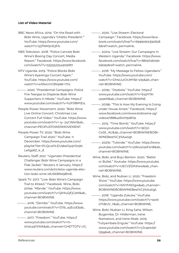#### **List of Video Material**

- BBC News Africa. 2019. "On the Road with Bobi Wine, Uganda's 'Ghetto President.'" YouTube. [https://www.youtube.com/](https://www.youtube.com/watch?v=53TNM3nE3FA) [watch?v=53TNM3nE3FA](https://www.youtube.com/watch?v=53TNM3nE3FA).
- NBS Television. 2018. "Police Cancels Bobi Wine's Boxing Day Concert, Media Report." Facebook. [https://www.facebook.](https://www.facebook.com/watch/?v=555552254909187) [com/watch/?v=555552254909187.](https://www.facebook.com/watch/?v=555552254909187)
- NTV Uganda. 2019. "Police Blocks Bobi Wine's Kyarenga Concert Again." YouTube. [https://www.youtube.com/](https://www.youtube.com/watch?v=wIWxcmC8VqI&t=77s) [watch?v=wIWxcmC8VqI&t=77s.](https://www.youtube.com/watch?v=wIWxcmC8VqI&t=77s)
- ———. 2020. "Presidential Campaigns: Police Fire Teargas to Disperse Bobi Wine Supporters in Mbale." YouTube. [https://](https://www.youtube.com/watch?v=hzFSf8PtEis) [www.youtube.com/watch?v=hzFSf8PtEis.](https://www.youtube.com/watch?v=hzFSf8PtEis)
- People Power Movement. 2020. "Bobi Wine Live Online Concert: Christmas Live Concert Full Video." YouTube. [https://www.](https://www.youtube.com/watch?v=-iy- %0924CWkrI&ab_channel=PEOPLEPOWERMOVEMENT) [youtube.com/watch?v=-iy- 24CWkrI&ab\\_](https://www.youtube.com/watch?v=-iy- %0924CWkrI&ab_channel=PEOPLEPOWERMOVEMENT) [channel=PEOPLEPOWERMOVEMENT](https://www.youtube.com/watch?v=-iy- %0924CWkrI&ab_channel=PEOPLEPOWERMOVEMENT).
- People Power TV. 2020. "Bobi Wine Campaign Trail 2020." YouTube. 11 December. [https://www.youtube.com/](https://www.youtube.com/playlist?list=PLQcutl1LEU9keOyqHJo5KLeitgs6Z_k_d) [playlist?list=PLQcutl1LEU9keOyqHJo5K-](https://www.youtube.com/playlist?list=PLQcutl1LEU9keOyqHJo5KLeitgs6Z_k_d)[Leitgs6Z\\_k\\_d](https://www.youtube.com/playlist?list=PLQcutl1LEU9keOyqHJo5KLeitgs6Z_k_d).
- Reuters, Staff. 2021. "Ugandan Presidential Challenger Bobi Wine Campaigns in a Flak Jacket." Reuters. 6 January. [https://](https://www.reuters.com/article/us-uganda-election-bobi-%09wine-idUSKBN29B10E) [www.reuters.com/article/us-uganda-elec](https://www.reuters.com/article/us-uganda-election-bobi-%09wine-idUSKBN29B10E)[tion-bobi-wine-idUSKBN29B10E.](https://www.reuters.com/article/us-uganda-election-bobi-%09wine-idUSKBN29B10E)
- Spark TV. 2017. "Live: Bobi Wine's Campaign Trail to Kiteezi." Facebook. Wine, Bobi. 2019a. "Afande." YouTube. [https://www.](https://www.youtube.com/watch?v=QlHluQFjCaM&ab_channel=BOBIWINE) [youtube.com/watch?v=QlHluQFjCaM&ab\\_](https://www.youtube.com/watch?v=QlHluQFjCaM&ab_channel=BOBIWINE) [channel=BOBIWINE.](https://www.youtube.com/watch?v=QlHluQFjCaM&ab_channel=BOBIWINE)
- ———. 2016. "Dembe." YouTube. [https://www.](https://www.youtube.com/watch?v=7J7b_a2EczE&ab_channel=BOBIWINE) [youtube.com/watch?v=7J7b\\_a2EczE&ab\\_](https://www.youtube.com/watch?v=7J7b_a2EczE&ab_channel=BOBIWINE) [channel=BOBIWINE.](https://www.youtube.com/watch?v=7J7b_a2EczE&ab_channel=BOBIWINE)
- ———. 2017. "Freedom." YouTube. [https://](https://www.youtube.com/watch?v=m0Ha1497VMA&ab_channel=GHETTOTV-UG) [www.youtube.com/watch?v=m-](https://www.youtube.com/watch?v=m0Ha1497VMA&ab_channel=GHETTOTV-UG)[0Ha1497VMA&ab\\_channel=GHETTOTV-UG.](https://www.youtube.com/watch?v=m0Ha1497VMA&ab_channel=GHETTOTV-UG)
- ———. 2020. "Live Stream: Electoral Campaign." Facebook. [https://www.face](https://www.facebook.com/watch/live/?v=699909123906286&ref=watch_permalink)[book.com/watch/live/?v=69990912390628](https://www.facebook.com/watch/live/?v=699909123906286&ref=watch_permalink) [6&ref=watch\\_permalink](https://www.facebook.com/watch/live/?v=699909123906286&ref=watch_permalink).
- ———. 2021a. "Live Stream: Our Campaigns in Western Uganda." Facebook. [https://www.](https://www.facebook.com/watch/live/?v=881972609009092&ref=watch_permalink) [facebook.com/watch/live/?v=8819726090](https://www.facebook.com/watch/live/?v=881972609009092&ref=watch_permalink) [09092&ref=watch\\_permalink.](https://www.facebook.com/watch/live/?v=881972609009092&ref=watch_permalink)
- ———. 2018. "My Message to Fellow Ugandans." YouTube. [https://www.youtube.com/](https://www.youtube.com/watch?v=OHsUurOUMY&t=23s&ab_channel=BOBIWIN%09E) [watch?v=OHsUurOUMY&t=23s&ab\\_chan](https://www.youtube.com/watch?v=OHsUurOUMY&t=23s&ab_channel=BOBIWIN%09E)[nel=BOBIWINE.](https://www.youtube.com/watch?v=OHsUurOUMY&t=23s&ab_channel=BOBIWIN%09E)
- ———. 2019c. "Osobola." YouTube. [https://](https://www.youtube.com/watch?v=Eq0Y7KcpseM&ab_channel=BOBIWINE) [www.youtube.com/watch?v=Eq0Y7K](https://www.youtube.com/watch?v=Eq0Y7KcpseM&ab_channel=BOBIWINE)[cpseM&ab\\_channel=BOBIWINE.](https://www.youtube.com/watch?v=Eq0Y7KcpseM&ab_channel=BOBIWINE)
- ———. 2019b. "This Is How My Evening Is Going under House Arrest." Facebook. [https://](https://www.facebook.com/www.bobiwine.ug/videos/1888426107928119) [www.facebook.com/www.bobiwine.ug/](https://www.facebook.com/www.bobiwine.ug/videos/1888426107928119) [videos/1888426107928119](https://www.facebook.com/www.bobiwine.ug/videos/1888426107928119).
- ———. 2015. "Time Bomb." YouTube. [https://](https://www.youtube.com/watch?v=9DjVCoSE_AU&ab_channel=BOBIWINEBOBI%09WINEBest%C3%A4tigt) [www.youtube.com/watch?v=9DjV-](https://www.youtube.com/watch?v=9DjVCoSE_AU&ab_channel=BOBIWINEBOBI%09WINEBest%C3%A4tigt)[CoSE\\_AU&ab\\_channel=BOBIWINEBOBI-](https://www.youtube.com/watch?v=9DjVCoSE_AU&ab_channel=BOBIWINEBOBI%09WINEBest%C3%A4tigt)[WINEBest%C3%A4tigt.](https://www.youtube.com/watch?v=9DjVCoSE_AU&ab_channel=BOBIWINEBOBI%09WINEBest%C3%A4tigt)
- ———. 2021b. "Tulonde." YouTube. [https://www.](https://www.youtube.com/watch?v=pWusJ4kFsn8&ab_channel=BOBIWINE) [youtube.com/watch?v=pWusJ4kFsn8&ab\\_](https://www.youtube.com/watch?v=pWusJ4kFsn8&ab_channel=BOBIWINE) [channel=BOBIWINE](https://www.youtube.com/watch?v=pWusJ4kFsn8&ab_channel=BOBIWINE).
- Wine, Bobi, and Buju Banton. 2020. "Ballot or Bullet." Youtube. [https://www.youtube.](https://www.youtube.com/watch?v=UECVZDihKww&ab_channel=BOBIWINE) [com/watch?v=UECVZDihKww&ab\\_chan](https://www.youtube.com/watch?v=UECVZDihKww&ab_channel=BOBIWINE)[nel=BOBIWINE.](https://www.youtube.com/watch?v=UECVZDihKww&ab_channel=BOBIWINE)
- Wine, Bobi, and Nubian Li. 2020. "Freedom Show." YouTube. [https://www.youtube.](https://www.youtube.com/watch?v=XilV1frNOgw&ab_channel=BOBIWINEBOBIW%09INEBest%C3%A4tigt) [com/watch?v=XilV1frNOgw&ab\\_channel=-](https://www.youtube.com/watch?v=XilV1frNOgw&ab_channel=BOBIWINEBOBIW%09INEBest%C3%A4tigt) [BOBIWINEBOBIWINEBest%C3%A4tigt.](https://www.youtube.com/watch?v=XilV1frNOgw&ab_channel=BOBIWINEBOBIW%09INEBest%C3%A4tigt)
- -. 2018. "Uganda Zukuka." YouTube. [https://www.youtube.com/watch?v=qwk](https://www.youtube.com/watch?v=qwksThBUV_Y&ab_channel=BOBIWINE)[sThBUV\\_Y&ab\\_channel=BOBIWINE](https://www.youtube.com/watch?v=qwksThBUV_Y&ab_channel=BOBIWINE).
- Wine, Bobi, Nubian Li, King Saha, Wilson Bugembe, Dr. Hilderman, Irene Namatovo, and Irene Ntale. 2019.
	- "Tuliyambala Engule." YouTube. [https://](https://www.youtube.com/watch?v=jJcqew3dQ9g&ab_channel=BOBIWINE) [www.youtube.com/watch?v=jJcqew3d-](https://www.youtube.com/watch?v=jJcqew3dQ9g&ab_channel=BOBIWINE)[Q9g&ab\\_channel=BOBIWINE.](https://www.youtube.com/watch?v=jJcqew3dQ9g&ab_channel=BOBIWINE)